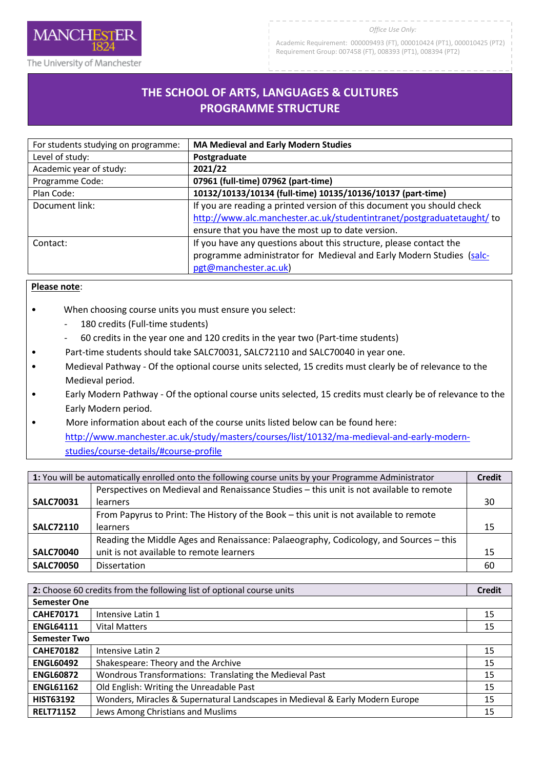

Academic Requirement: 000009493 (FT), 000010424 (PT1), 000010425 (PT2) Requirement Group: 007458 (FT), 008393 (PT1), 008394 (PT2)

The University of Manchester

**MANCHESTER** 

# **THE SCHOOL OF ARTS, LANGUAGES & CULTURES**  R**PROGRAMME STRUCTURE**

| For students studying on programme: | <b>MA Medieval and Early Modern Studies</b>                            |
|-------------------------------------|------------------------------------------------------------------------|
| Level of study:                     | Postgraduate                                                           |
| Academic year of study:             | 2021/22                                                                |
| Programme Code:                     | 07961 (full-time) 07962 (part-time)                                    |
| Plan Code:                          | 10132/10133/10134 (full-time) 10135/10136/10137 (part-time)            |
| Document link:                      | If you are reading a printed version of this document you should check |
|                                     | http://www.alc.manchester.ac.uk/studentintranet/postgraduatetaught/ to |
|                                     | ensure that you have the most up to date version.                      |
| Contact:                            | If you have any questions about this structure, please contact the     |
|                                     | programme administrator for Medieval and Early Modern Studies (salc-   |
|                                     | pgt@manchester.ac.uk)                                                  |

## **Please note**:

- When choosing course units you must ensure you select:
	- 180 credits (Full-time students)
	- 60 credits in the year one and 120 credits in the year two (Part-time students)
- Part-time students should take SALC70031, SALC72110 and SALC70040 in year one.
- Medieval Pathway Of the optional course units selected, 15 credits must clearly be of relevance to the Medieval period.
- Early Modern Pathway Of the optional course units selected, 15 credits must clearly be of relevance to the Early Modern period.
- More information about each of the course units listed below can be found here: [http://www.manchester.ac.uk/study/masters/courses/list/10132/ma-medieval-and-early-modern](http://www.manchester.ac.uk/study/masters/courses/list/10132/ma-medieval-and-early-modern-studies/course-details/#course-profile)[studies/course-details/#course-profile](http://www.manchester.ac.uk/study/masters/courses/list/10132/ma-medieval-and-early-modern-studies/course-details/#course-profile)

| 1: You will be automatically enrolled onto the following course units by your Programme Administrator |                                                                                         | <b>Credit</b> |
|-------------------------------------------------------------------------------------------------------|-----------------------------------------------------------------------------------------|---------------|
|                                                                                                       | Perspectives on Medieval and Renaissance Studies - this unit is not available to remote |               |
| <b>SALC70031</b>                                                                                      | learners                                                                                | 30            |
|                                                                                                       | From Papyrus to Print: The History of the Book - this unit is not available to remote   |               |
| <b>SALC72110</b>                                                                                      | learners                                                                                | 15            |
|                                                                                                       | Reading the Middle Ages and Renaissance: Palaeography, Codicology, and Sources - this   |               |
| <b>SALC70040</b>                                                                                      | unit is not available to remote learners                                                | 15            |
| <b>SALC70050</b>                                                                                      | <b>Dissertation</b>                                                                     | 60            |

| 2: Choose 60 credits from the following list of optional course units |                                                                               | <b>Credit</b> |
|-----------------------------------------------------------------------|-------------------------------------------------------------------------------|---------------|
| <b>Semester One</b>                                                   |                                                                               |               |
| <b>CAHE70171</b>                                                      | Intensive Latin 1                                                             | 15            |
| <b>ENGL64111</b>                                                      | <b>Vital Matters</b>                                                          | 15            |
| <b>Semester Two</b>                                                   |                                                                               |               |
| <b>CAHE70182</b>                                                      | Intensive Latin 2                                                             | 15            |
| <b>ENGL60492</b>                                                      | Shakespeare: Theory and the Archive                                           | 15            |
| <b>ENGL60872</b>                                                      | Wondrous Transformations: Translating the Medieval Past                       | 15            |
| <b>ENGL61162</b>                                                      | Old English: Writing the Unreadable Past                                      | 15            |
| <b>HIST63192</b>                                                      | Wonders, Miracles & Supernatural Landscapes in Medieval & Early Modern Europe | 15            |
| <b>RELT71152</b>                                                      | Jews Among Christians and Muslims                                             | 15            |